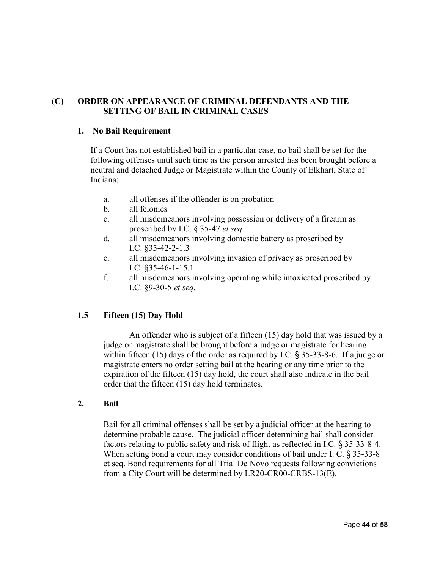# **(C) ORDER ON APPEARANCE OF CRIMINAL DEFENDANTS AND THE SETTING OF BAIL IN CRIMINAL CASES**

#### **1. No Bail Requirement**

If a Court has not established bail in a particular case, no bail shall be set for the following offenses until such time as the person arrested has been brought before a neutral and detached Judge or Magistrate within the County of Elkhart, State of Indiana:

- a. all offenses if the offender is on probation
- b. all felonies
- c. all misdemeanors involving possession or delivery of a firearm as proscribed by I.C. § 35-47 *et seq.*
- d. all misdemeanors involving domestic battery as proscribed by I.C. §35-42-2-1.3
- e. all misdemeanors involving invasion of privacy as proscribed by I.C. §35-46-1-15.1
- f. all misdemeanors involving operating while intoxicated proscribed by I.C. §9-30-5 *et seq.*

# **1.5 Fifteen (15) Day Hold**

An offender who is subject of a fifteen (15) day hold that was issued by a judge or magistrate shall be brought before a judge or magistrate for hearing within fifteen (15) days of the order as required by I.C. § 35-33-8-6. If a judge or magistrate enters no order setting bail at the hearing or any time prior to the expiration of the fifteen (15) day hold, the court shall also indicate in the bail order that the fifteen (15) day hold terminates.

#### **2. Bail**

Bail for all criminal offenses shall be set by a judicial officer at the hearing to determine probable cause. The judicial officer determining bail shall consider factors relating to public safety and risk of flight as reflected in I.C. § 35-33-8-4. When setting bond a court may consider conditions of bail under I. C. § 35-33-8 et seq. Bond requirements for all Trial De Novo requests following convictions from a City Court will be determined by LR20-CR00-CRBS-13(E).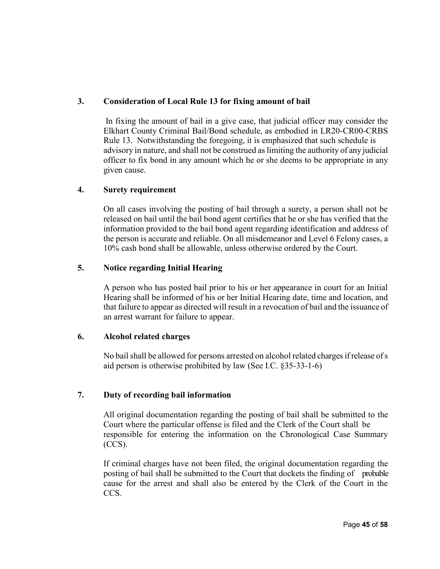# **3. Consideration of Local Rule 13 for fixing amount of bail**

In fixing the amount of bail in a give case, that judicial officer may consider the Elkhart County Criminal Bail/Bond schedule, as embodied in LR20-CR00-CRBS Rule 13. Notwithstanding the foregoing, it is emphasized that such schedule is advisory in nature, and shall not be construed as limiting the authority of any judicial officer to fix bond in any amount which he or she deems to be appropriate in any given cause.

#### **4. Surety requirement**

On all cases involving the posting of bail through a surety, a person shall not be released on bail until the bail bond agent certifies that he or she has verified that the information provided to the bail bond agent regarding identification and address of the person is accurate and reliable. On all misdemeanor and Level 6 Felony cases, a 10% cash bond shall be allowable, unless otherwise ordered by the Court.

#### **5. Notice regarding Initial Hearing**

A person who has posted bail prior to his or her appearance in court for an Initial Hearing shall be informed of his or her Initial Hearing date, time and location, and that failure to appear as directed will result in a revocation of bail and the issuance of an arrest warrant for failure to appear.

#### **6. Alcohol related charges**

No bail shall be allowed for persons arrested on alcohol related charges if release of s aid person is otherwise prohibited by law (See I.C. §35-33-1-6)

# **7. Duty of recording bail information**

All original documentation regarding the posting of bail shall be submitted to the Court where the particular offense is filed and the Clerk of the Court shall be responsible for entering the information on the Chronological Case Summary (CCS).

If criminal charges have not been filed, the original documentation regarding the posting of bail shall be submitted to the Court that dockets the finding of probable cause for the arrest and shall also be entered by the Clerk of the Court in the CCS.